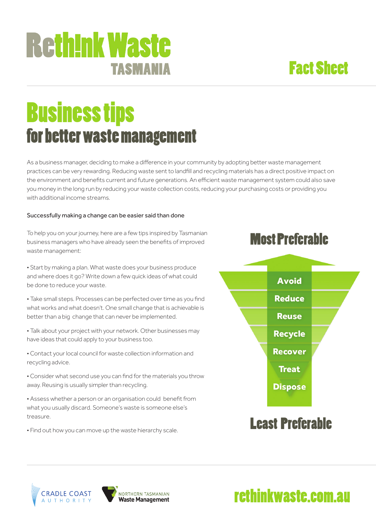### Fact Sheet

# Business tips for better waste management

TASMANIA

**Reth!nk Waste** 

As a business manager, deciding to make a difference in your community by adopting better waste management practices can be very rewarding. Reducing waste sent to landfill and recycling materials has a direct positive impact on the environment and benefits current and future generations. An efficient waste management system could also save you money in the long run by reducing your waste collection costs, reducing your purchasing costs or providing you with additional income streams.

#### Successfully making a change can be easier said than done

To help you on your journey, here are a few tips inspired by Tasmanian business managers who have already seen the benefits of improved waste management:

Most Preferable

• Start by making a plan. What waste does your business produce and where does it go? Write down a few quick ideas of what could be done to reduce your waste.

• Take small steps. Processes can be perfected over time as you find what works and what doesn't. One small change that is achievable is better than a big change that can never be implemented.

• Talk about your project with your network. Other businesses may have ideas that could apply to your business too.

• Contact your local council for waste collection information and recycling advice.

• Consider what second use you can find for the materials you throw away. Reusing is usually simpler than recycling.

• Assess whether a person or an organisation could benefit from what you usually discard. Someone's waste is someone else's treasure.

• Find out how you can move up the waste hierarchy scale.



rethinkwaste.com.au